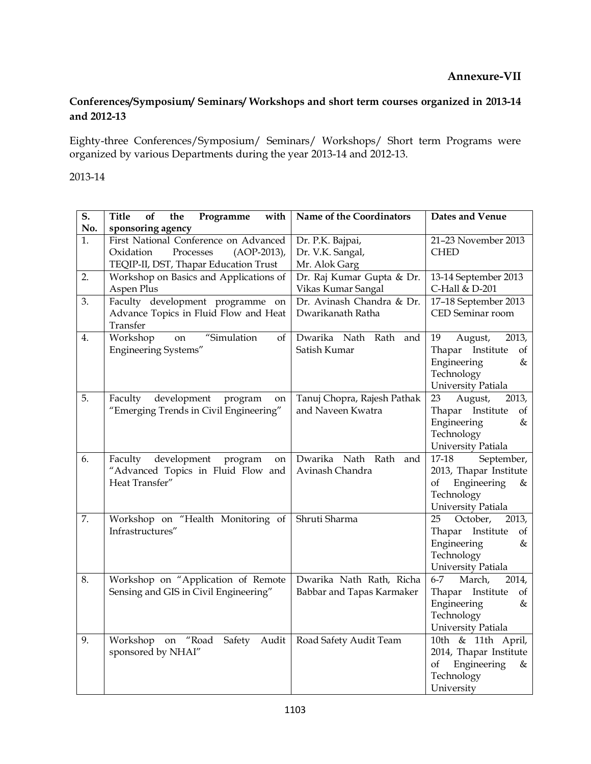## **Conferences/Symposium/ Seminars/ Workshops and short term courses organized in 2013-14 and 2012-13**

Eighty-three Conferences/Symposium/ Seminars/ Workshops/ Short term Programs were organized by various Departments during the year 2013-14 and 2012-13.

## 2013-14

| $\overline{\mathbf{S}}$ . | with<br>of<br>the<br><b>Title</b><br>Programme | Name of the Coordinators    | Dates and Venue                      |
|---------------------------|------------------------------------------------|-----------------------------|--------------------------------------|
| No.                       | sponsoring agency                              |                             |                                      |
| 1.                        | First National Conference on Advanced          | Dr. P.K. Bajpai,            | 21-23 November 2013                  |
|                           | Oxidation<br>Processes<br>$(AOP-2013)$ ,       | Dr. V.K. Sangal,            | <b>CHED</b>                          |
|                           | TEQIP-II, DST, Thapar Education Trust          | Mr. Alok Garg               |                                      |
| 2.                        | Workshop on Basics and Applications of         | Dr. Raj Kumar Gupta & Dr.   | 13-14 September 2013                 |
|                           | Aspen Plus                                     | Vikas Kumar Sangal          | C-Hall & D-201                       |
| 3.                        | Faculty development programme on               | Dr. Avinash Chandra & Dr.   | 17-18 September 2013                 |
|                           | Advance Topics in Fluid Flow and Heat          | Dwarikanath Ratha           | CED Seminar room                     |
|                           | Transfer                                       |                             |                                      |
| 4.                        | "Simulation<br>Workshop<br>on<br>of            | Dwarika Nath Rath and       | 19<br>August,<br>2013,               |
|                           | Engineering Systems"                           | Satish Kumar                | Thapar Institute<br>of               |
|                           |                                                |                             | Engineering<br>&                     |
|                           |                                                |                             | Technology                           |
|                           |                                                |                             | University Patiala                   |
| 5.                        | Faculty<br>development<br>program<br>on        | Tanuj Chopra, Rajesh Pathak | 23<br>August,<br>2013,               |
|                           | "Emerging Trends in Civil Engineering"         | and Naveen Kwatra           | Thapar Institute<br>of               |
|                           |                                                |                             | Engineering<br>&                     |
|                           |                                                |                             | Technology                           |
|                           |                                                |                             | University Patiala                   |
| 6.                        | development<br>program<br>Faculty<br>on        | Dwarika Nath Rath and       | 17-18<br>September,                  |
|                           | "Advanced Topics in Fluid Flow and             | Avinash Chandra             | 2013, Thapar Institute               |
|                           | Heat Transfer"                                 |                             | Engineering<br>οf<br>&               |
|                           |                                                |                             | Technology                           |
|                           |                                                |                             | University Patiala                   |
| 7.                        | Workshop on "Health Monitoring of              | Shruti Sharma               | 25<br>October,<br>2013,              |
|                           | Infrastructures"                               |                             | Thapar Institute<br>of               |
|                           |                                                |                             | Engineering<br>&                     |
|                           |                                                |                             | Technology                           |
|                           |                                                |                             | University Patiala                   |
| 8.                        | Workshop on "Application of Remote             | Dwarika Nath Rath, Richa    | March,<br>2014,<br>6-7               |
|                           | Sensing and GIS in Civil Engineering"          | Babbar and Tapas Karmaker   | Thapar Institute<br>of               |
|                           |                                                |                             | Engineering<br>&                     |
|                           |                                                |                             | Technology                           |
| 9.                        |                                                |                             | University Patiala                   |
|                           | Workshop on<br>"Road<br>Safety<br>Audit        | Road Safety Audit Team      | 10th & 11th April,                   |
|                           | sponsored by NHAI"                             |                             | 2014, Thapar Institute               |
|                           |                                                |                             | Engineering<br>οf<br>&<br>Technology |
|                           |                                                |                             |                                      |
|                           |                                                |                             | University                           |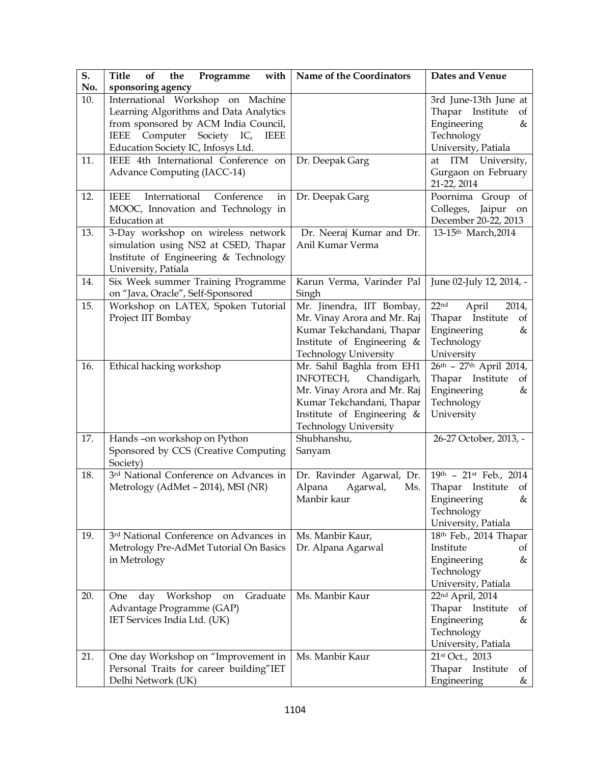| S.<br>No. | Programme<br><b>Title</b><br>of<br>the<br>with<br>sponsoring agency                                                                                                                               | Name of the Coordinators                                                                                                                                                     | Dates and Venue                                                                                                    |
|-----------|---------------------------------------------------------------------------------------------------------------------------------------------------------------------------------------------------|------------------------------------------------------------------------------------------------------------------------------------------------------------------------------|--------------------------------------------------------------------------------------------------------------------|
| 10.       | International Workshop on Machine<br>Learning Algorithms and Data Analytics<br>from sponsored by ACM India Council,<br>Computer Society IC,<br>IEEE<br>IEEE<br>Education Society IC, Infosys Ltd. |                                                                                                                                                                              | 3rd June-13th June at<br>Thapar Institute<br>of<br>Engineering<br>&<br>Technology<br>University, Patiala           |
| 11.       | IEEE 4th International Conference on<br>Advance Computing (IACC-14)                                                                                                                               | Dr. Deepak Garg                                                                                                                                                              | at ITM University,<br>Gurgaon on February<br>21-22, 2014                                                           |
| 12.       | International<br><b>IEEE</b><br>Conference<br>in<br>MOOC, Innovation and Technology in<br><b>Education</b> at                                                                                     | Dr. Deepak Garg                                                                                                                                                              | Poornima Group of<br>Colleges,<br>Jaipur<br>on<br>December 20-22, 2013                                             |
| 13.       | 3-Day workshop on wireless network<br>simulation using NS2 at CSED, Thapar<br>Institute of Engineering & Technology<br>University, Patiala                                                        | Dr. Neeraj Kumar and Dr.<br>Anil Kumar Verma                                                                                                                                 | 13-15th March, 2014                                                                                                |
| 14.       | Six Week summer Training Programme<br>on "Java, Oracle", Self-Sponsored                                                                                                                           | Karun Verma, Varinder Pal<br>Singh                                                                                                                                           | June 02-July 12, 2014, -                                                                                           |
| 15.       | Workshop on LATEX, Spoken Tutorial<br>Project IIT Bombay                                                                                                                                          | Mr. Jinendra, IIT Bombay,<br>Mr. Vinay Arora and Mr. Raj<br>Kumar Tekchandani, Thapar<br>Institute of Engineering &<br><b>Technology University</b>                          | 22 <sup>nd</sup><br>April<br>2014,<br>Thapar Institute<br>of<br>Engineering<br>&<br>Technology<br>University       |
| 16.       | Ethical hacking workshop                                                                                                                                                                          | Mr. Sahil Baghla from EH1<br>INFOTECH, Chandigarh,<br>Mr. Vinay Arora and Mr. Raj<br>Kumar Tekchandani, Thapar<br>Institute of Engineering &<br><b>Technology University</b> | $26^{th}$ - 27 <sup>th</sup> April 2014,<br>Thapar Institute<br>of<br>Engineering<br>&<br>Technology<br>University |
| 17.       | Hands-on workshop on Python<br>Sponsored by CCS (Creative Computing<br>Society)                                                                                                                   | Shubhanshu,<br>Sanyam                                                                                                                                                        | 26-27 October, 2013, -                                                                                             |
| 18.       | 3 <sup>rd</sup> National Conference on Advances in<br>Metrology (AdMet - 2014), MSI (NR)                                                                                                          | Dr. Ravinder Agarwal, Dr.<br>Alpana<br>Agarwal,<br>Ms.<br>Manbir kaur                                                                                                        | 19th - 21st Feb., 2014<br>Thapar<br>Institute of<br>Engineering<br>&<br>Technology<br>University, Patiala          |
| 19.       | 3 <sup>rd</sup> National Conference on Advances in<br>Metrology Pre-AdMet Tutorial On Basics<br>in Metrology                                                                                      | Ms. Manbir Kaur,<br>Dr. Alpana Agarwal                                                                                                                                       | 18th Feb., 2014 Thapar<br>Institute<br>οf<br>Engineering<br>&<br>Technology<br>University, Patiala                 |
| 20.       | Graduate<br>day<br>Workshop<br>One<br>on<br>Advantage Programme (GAP)<br>IET Services India Ltd. (UK)                                                                                             | Ms. Manbir Kaur                                                                                                                                                              | 22nd April, 2014<br>Thapar<br>Institute<br>οf<br>Engineering<br>&<br>Technology<br>University, Patiala             |
| 21.       | One day Workshop on "Improvement in<br>Personal Traits for career building"IET<br>Delhi Network (UK)                                                                                              | Ms. Manbir Kaur                                                                                                                                                              | 21st Oct., 2013<br>Thapar Institute<br>οf<br>Engineering<br>&                                                      |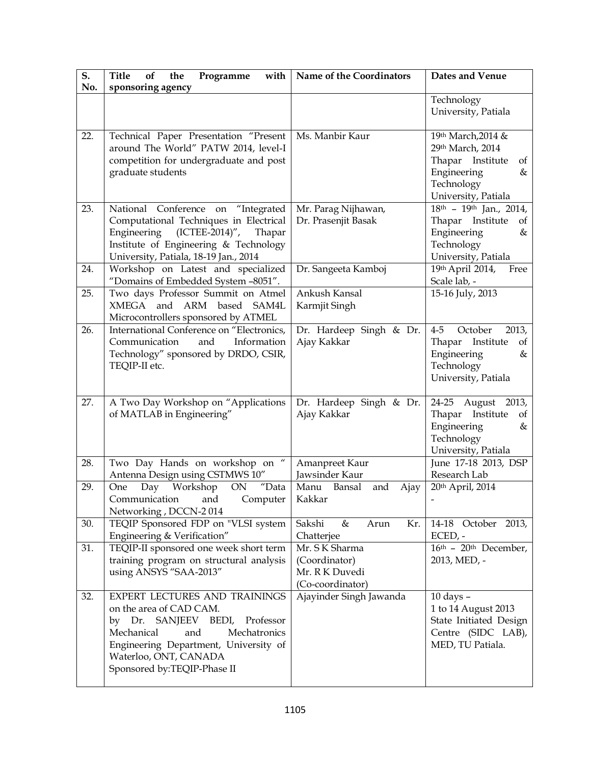| S.<br>No. | <b>Title</b><br>of<br>the<br>Programme<br>with<br>sponsoring agency                                                                                                                                                                 | Name of the Coordinators                                             | Dates and Venue                                                                                                           |
|-----------|-------------------------------------------------------------------------------------------------------------------------------------------------------------------------------------------------------------------------------------|----------------------------------------------------------------------|---------------------------------------------------------------------------------------------------------------------------|
|           |                                                                                                                                                                                                                                     |                                                                      | Technology<br>University, Patiala                                                                                         |
| 22.       | Technical Paper Presentation "Present<br>around The World" PATW 2014, level-I<br>competition for undergraduate and post<br>graduate students                                                                                        | Ms. Manbir Kaur                                                      | 19th March, 2014 &<br>29th March, 2014<br>Thapar Institute<br>of<br>Engineering<br>&<br>Technology<br>University, Patiala |
| 23.       | "Integrated<br>National Conference<br>on<br>Computational Techniques in Electrical<br>Engineering<br>$(ICTEE-2014)''$ ,<br>Thapar<br>Institute of Engineering & Technology<br>University, Patiala, 18-19 Jan., 2014                 | Mr. Parag Nijhawan,<br>Dr. Prasenjit Basak                           | $18th - 19th$ Jan., 2014,<br>Thapar Institute<br>of<br>Engineering<br>&<br>Technology<br>University, Patiala              |
| 24.       | Workshop on Latest and specialized<br>"Domains of Embedded System -8051".                                                                                                                                                           | Dr. Sangeeta Kamboj                                                  | 19th April 2014,<br>Free<br>Scale lab, -                                                                                  |
| 25.       | Two days Professor Summit on Atmel<br>XMEGA and ARM based SAM4L<br>Microcontrollers sponsored by ATMEL                                                                                                                              | Ankush Kansal<br>Karmjit Singh                                       | 15-16 July, 2013                                                                                                          |
| 26.       | International Conference on "Electronics,<br>Communication<br>and<br>Information<br>Technology" sponsored by DRDO, CSIR,<br>TEQIP-II etc.                                                                                           | Dr. Hardeep Singh & Dr.<br>Ajay Kakkar                               | $4-5$<br>October<br>2013,<br>Thapar<br>Institute<br>of<br>Engineering<br>&<br>Technology<br>University, Patiala           |
| 27.       | A Two Day Workshop on "Applications<br>of MATLAB in Engineering"                                                                                                                                                                    | Dr. Hardeep Singh & Dr.<br>Ajay Kakkar                               | 24-25 August 2013,<br>Thapar Institute<br>of<br>Engineering<br>&<br>Technology<br>University, Patiala                     |
| 28.       | $\boldsymbol{\mathcal{U}}$<br>Two Day Hands on workshop on<br>Antenna Design using CSTMWS 10"                                                                                                                                       | Amanpreet Kaur<br>Jawsinder Kaur                                     | June 17-18 2013, DSP<br>Research Lab                                                                                      |
| 29.       | "Data<br>Workshop<br>$\mathop{\rm ON}\nolimits$<br>Day<br>One<br>Communication and Computer<br>Networking, DCCN-2014                                                                                                                | Manu<br>Bansal<br>and<br>Ajay<br>Kakkar                              | 20th April, 2014                                                                                                          |
| 30.       | TEQIP Sponsored FDP on "VLSI system<br>Engineering & Verification"                                                                                                                                                                  | Sakshi<br>&<br>Kr.<br>Arun<br>Chatterjee                             | 14-18 October 2013,<br>ECED, -                                                                                            |
| 31.       | TEQIP-II sponsored one week short term<br>training program on structural analysis<br>using ANSYS "SAA-2013"                                                                                                                         | Mr. S K Sharma<br>(Coordinator)<br>Mr. RK Duvedi<br>(Co-coordinator) | $16th$ - $20th$ December,<br>2013, MED, -                                                                                 |
| 32.       | EXPERT LECTURES AND TRAININGS<br>on the area of CAD CAM.<br>SANJEEV BEDI, Professor<br>by Dr.<br>Mechanical<br>and<br>Mechatronics<br>Engineering Department, University of<br>Waterloo, ONT, CANADA<br>Sponsored by:TEQIP-Phase II | Ajayinder Singh Jawanda                                              | $10$ days $-$<br>1 to 14 August 2013<br>State Initiated Design<br>Centre (SIDC LAB),<br>MED, TU Patiala.                  |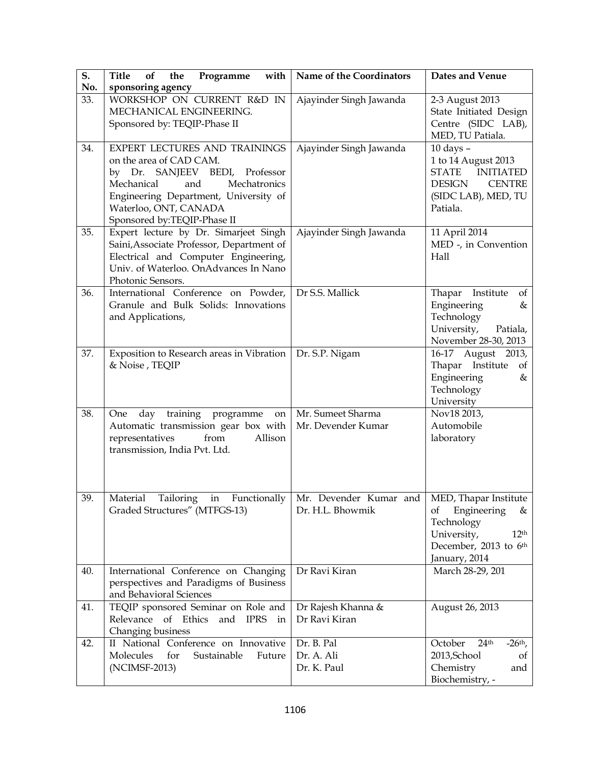| $\overline{\mathbf{S}}$ .<br>No. | <b>Title</b><br>with<br>the<br>Programme<br>of<br>sponsoring agency                                                                                                                                                              | Name of the Coordinators                                                          | Dates and Venue                                                                                                              |
|----------------------------------|----------------------------------------------------------------------------------------------------------------------------------------------------------------------------------------------------------------------------------|-----------------------------------------------------------------------------------|------------------------------------------------------------------------------------------------------------------------------|
| 33.                              | WORKSHOP ON CURRENT R&D IN<br>MECHANICAL ENGINEERING.<br>Sponsored by: TEQIP-Phase II                                                                                                                                            | Ajayinder Singh Jawanda                                                           | 2-3 August 2013<br>State Initiated Design<br>Centre (SIDC LAB),<br>MED, TU Patiala.                                          |
| 34.                              | EXPERT LECTURES AND TRAININGS<br>on the area of CAD CAM.<br>by Dr. SANJEEV BEDI, Professor<br>and<br>Mechanical<br>Mechatronics<br>Engineering Department, University of<br>Waterloo, ONT, CANADA<br>Sponsored by:TEQIP-Phase II | Ajayinder Singh Jawanda                                                           | $10$ days $-$<br>1 to 14 August 2013<br>STATE INITIATED<br><b>DESIGN</b><br><b>CENTRE</b><br>(SIDC LAB), MED, TU<br>Patiala. |
| 35.                              | Expert lecture by Dr. Simarjeet Singh<br>Saini, Associate Professor, Department of<br>Electrical and Computer Engineering,<br>Univ. of Waterloo. OnAdvances In Nano<br>Photonic Sensors.                                         | Ajayinder Singh Jawanda                                                           | 11 April 2014<br>MED -, in Convention<br>Hall                                                                                |
| 36.                              | International Conference on Powder,<br>Granule and Bulk Solids: Innovations<br>and Applications,                                                                                                                                 | Dr S.S. Mallick                                                                   | Thapar Institute<br>of<br>Engineering<br>&<br>Technology<br>University,<br>Patiala,<br>November 28-30, 2013                  |
| 37.                              | Exposition to Research areas in Vibration<br>& Noise, TEQIP                                                                                                                                                                      | Dr. S.P. Nigam                                                                    | 16-17 August 2013,<br>Thapar Institute<br>of<br>Engineering<br>&<br>Technology<br>University                                 |
| 38.                              | day training programme<br>One<br>on<br>Automatic transmission gear box with<br>Allison<br>representatives<br>from<br>transmission, India Pvt. Ltd.                                                                               | Mr. Sumeet Sharma<br>Mr. Devender Kumar                                           | Nov18 2013,<br>Automobile<br>laboratory                                                                                      |
| 39.                              | Tailoring in<br>Material<br>Graded Structures" (MTFGS-13)                                                                                                                                                                        | Functionally   Mr. Devender Kumar and   MED, Thapar Institute<br>Dr. H.L. Bhowmik | Engineering<br>of<br>&<br>Technology<br>University,<br>12 <sup>th</sup><br>December, 2013 to 6th<br>January, 2014            |
| 40.                              | International Conference on Changing<br>perspectives and Paradigms of Business<br>and Behavioral Sciences                                                                                                                        | Dr Ravi Kiran                                                                     | March 28-29, 201                                                                                                             |
| 41.                              | TEQIP sponsored Seminar on Role and<br>Relevance of Ethics<br>and IPRS in<br>Changing business                                                                                                                                   | Dr Rajesh Khanna &<br>Dr Ravi Kiran                                               | August 26, 2013                                                                                                              |
| 42.                              | II National Conference on Innovative<br>Molecules<br>for<br>Sustainable<br>Future<br>(NCIMSF-2013)                                                                                                                               | Dr. B. Pal<br>Dr. A. Ali<br>Dr. K. Paul                                           | October<br>24 <sup>th</sup><br>$-26th$ ,<br>2013, School<br>of<br>Chemistry<br>and<br>Biochemistry, -                        |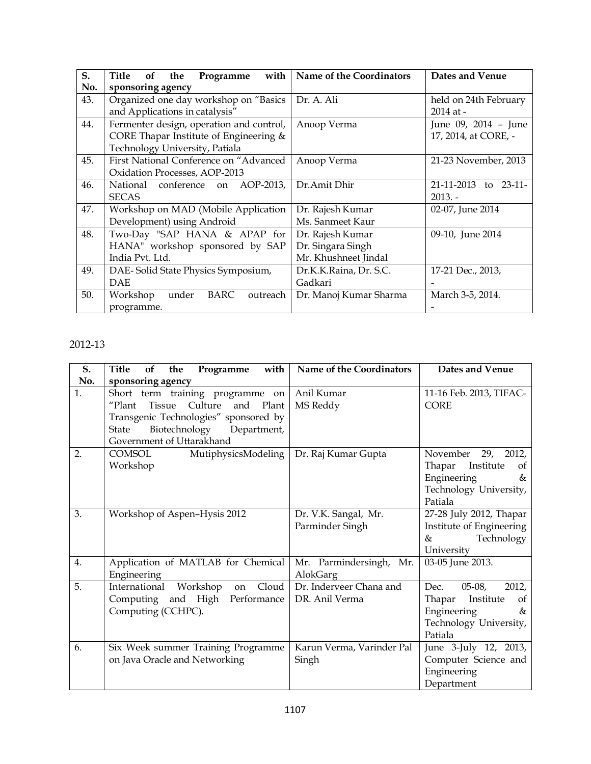| S.  | with<br>Title<br><b>of</b><br>Programme<br>the | Name of the Coordinators | Dates and Venue       |
|-----|------------------------------------------------|--------------------------|-----------------------|
| No. | sponsoring agency                              |                          |                       |
| 43. | Organized one day workshop on "Basics          | Dr. A. Ali               | held on 24th February |
|     | and Applications in catalysis"                 |                          | 2014 at -             |
| 44. | Fermenter design, operation and control,       | Anoop Verma              | June 09, 2014 - June  |
|     | CORE Thapar Institute of Engineering &         |                          | 17, 2014, at CORE, -  |
|     | Technology University, Patiala                 |                          |                       |
| 45. | First National Conference on "Advanced         | Anoop Verma              | 21-23 November, 2013  |
|     | Oxidation Processes, AOP-2013                  |                          |                       |
| 46. | National conference on<br>AOP-2013.            | Dr.Amit Dhir             | 21-11-2013 to 23-11-  |
|     | <b>SECAS</b>                                   |                          | $2013. -$             |
| 47. | Workshop on MAD (Mobile Application            | Dr. Rajesh Kumar         | 02-07, June 2014      |
|     | Development) using Android                     | Ms. Sanmeet Kaur         |                       |
| 48. | Two-Day "SAP HANA & APAP for                   | Dr. Rajesh Kumar         | 09-10, June 2014      |
|     | HANA" workshop sponsored by SAP                | Dr. Singara Singh        |                       |
|     | India Pvt. Ltd.                                | Mr. Khushneet Jindal     |                       |
| 49. | DAE-Solid State Physics Symposium,             | Dr.K.K.Raina, Dr. S.C.   | 17-21 Dec., 2013,     |
|     | DAE                                            | Gadkari                  |                       |
| 50. | Workshop<br>BARC<br>under<br>outreach          | Dr. Manoj Kumar Sharma   | March 3-5, 2014.      |
|     | programme.                                     |                          |                       |

## 2012-13

| S.  | with<br><b>Title</b><br>Programme<br>of<br>the                                                                        | Name of the Coordinators                  | Dates and Venue                                                                                                 |
|-----|-----------------------------------------------------------------------------------------------------------------------|-------------------------------------------|-----------------------------------------------------------------------------------------------------------------|
| No. | sponsoring agency                                                                                                     |                                           |                                                                                                                 |
| 1.  | Short term training programme on<br>Culture<br>and Plant<br>"Plant<br>Tissue<br>Transgenic Technologies" sponsored by | Anil Kumar<br>MS Reddy                    | 11-16 Feb. 2013, TIFAC-<br><b>CORE</b>                                                                          |
|     | Biotechnology Department,<br>State<br>Government of Uttarakhand                                                       |                                           |                                                                                                                 |
| 2.  | MutiphysicsModeling<br>COMSOL<br>Workshop                                                                             | Dr. Raj Kumar Gupta                       | November 29, 2012,<br>Thapar<br>Institute<br>οf<br>Engineering<br>&<br>Technology University,<br>Patiala        |
| 3.  | Workshop of Aspen-Hysis 2012                                                                                          | Dr. V.K. Sangal, Mr.<br>Parminder Singh   | 27-28 July 2012, Thapar<br>Institute of Engineering<br>Technology<br>$\&$<br>University                         |
| 4.  | Application of MATLAB for Chemical<br>Engineering                                                                     | Mr. Parmindersingh, Mr.<br>AlokGarg       | 03-05 June 2013.                                                                                                |
| 5.  | Cloud<br>International Workshop<br>on<br>Computing and High Performance<br>Computing (CCHPC).                         | Dr. Inderveer Chana and<br>DR. Anil Verma | $05-08,$<br>Dec.<br>2012,<br>Thapar<br>Institute<br>of<br>Engineering<br>&<br>Technology University,<br>Patiala |
| 6.  | Six Week summer Training Programme<br>on Java Oracle and Networking                                                   | Karun Verma, Varinder Pal<br>Singh        | June 3-July 12, 2013,<br>Computer Science and<br>Engineering<br>Department                                      |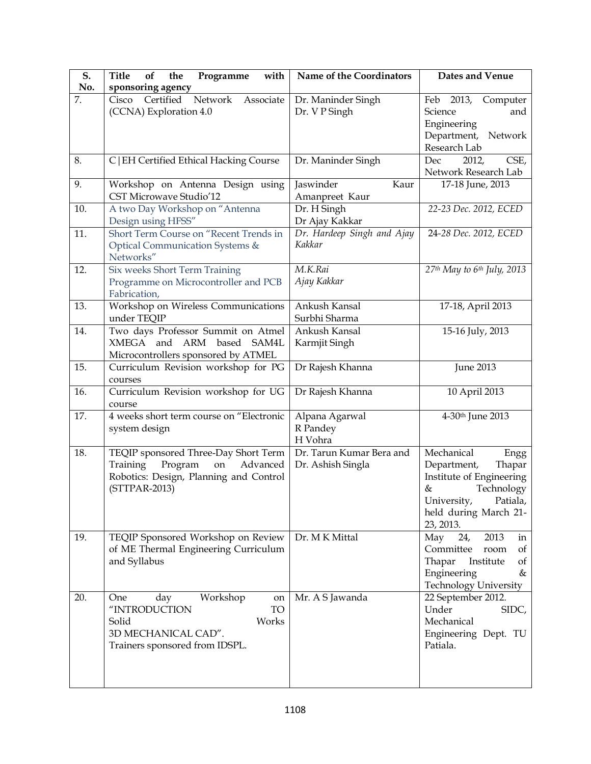| S.<br>No. | Title<br>Programme<br>with<br>of<br>the<br>sponsoring agency                                                                             | Name of the Coordinators                      | Dates and Venue                                                                                                                                          |
|-----------|------------------------------------------------------------------------------------------------------------------------------------------|-----------------------------------------------|----------------------------------------------------------------------------------------------------------------------------------------------------------|
| 7.        | Certified<br>Cisco<br>Network Associate<br>(CCNA) Exploration 4.0                                                                        | Dr. Maninder Singh<br>Dr. V P Singh           | Feb 2013, Computer<br>Science<br>and<br>Engineering<br>Department, Network<br>Research Lab                                                               |
| 8.        | C   EH Certified Ethical Hacking Course                                                                                                  | Dr. Maninder Singh                            | 2012,<br>CSE,<br>Dec<br>Network Research Lab                                                                                                             |
| 9.        | Workshop on Antenna Design using<br><b>CST Microwave Studio'12</b>                                                                       | Jaswinder<br>Kaur<br>Amanpreet Kaur           | 17-18 June, 2013                                                                                                                                         |
| 10.       | A two Day Workshop on "Antenna<br>Design using HFSS"                                                                                     | Dr. H Singh<br>Dr Ajay Kakkar                 | 22-23 Dec. 2012, ECED                                                                                                                                    |
| 11.       | Short Term Course on "Recent Trends in<br>Optical Communication Systems &<br>Networks"                                                   | Dr. Hardeep Singh and Ajay<br>Kakkar          | 24-28 Dec. 2012, ECED                                                                                                                                    |
| 12.       | Six weeks Short Term Training<br>Programme on Microcontroller and PCB<br>Fabrication,                                                    | M.K.Rai<br>Ajay Kakkar                        | $27th$ May to 6 <sup>th</sup> July, 2013                                                                                                                 |
| 13.       | Workshop on Wireless Communications<br>under TEQIP                                                                                       | Ankush Kansal<br>Surbhi Sharma                | 17-18, April 2013                                                                                                                                        |
| 14.       | Two days Professor Summit on Atmel<br>XMEGA and ARM based<br>SAM4L<br>Microcontrollers sponsored by ATMEL                                | Ankush Kansal<br>Karmjit Singh                | 15-16 July, 2013                                                                                                                                         |
| 15.       | Curriculum Revision workshop for PG<br>courses                                                                                           | Dr Rajesh Khanna                              | <b>June 2013</b>                                                                                                                                         |
| 16.       | Curriculum Revision workshop for UG<br>course                                                                                            | Dr Rajesh Khanna                              | 10 April 2013                                                                                                                                            |
| 17.       | 4 weeks short term course on "Electronic<br>system design                                                                                | Alpana Agarwal<br>R Pandey<br>H Vohra         | 4-30th June 2013                                                                                                                                         |
| 18.       | TEQIP sponsored Three-Day Short Term<br>Program<br>Training<br>on<br>Advanced<br>Robotics: Design, Planning and Control<br>(STTPAR-2013) | Dr. Tarun Kumar Bera and<br>Dr. Ashish Singla | Mechanical<br>Engg<br>Department,<br>Thapar<br>Institute of Engineering<br>Technology<br>&<br>University, Patiala,<br>held during March 21-<br>23, 2013. |
| 19.       | TEQIP Sponsored Workshop on Review<br>of ME Thermal Engineering Curriculum<br>and Syllabus                                               | Dr. M K Mittal                                | 2013<br>May<br>24,<br>in<br>Committee<br>room<br>of<br>Thapar<br>Institute<br>of<br>Engineering<br>&<br><b>Technology University</b>                     |
| 20.       | Workshop<br>One<br>day<br>on<br>"INTRODUCTION<br>TO<br>Works<br>Solid<br>3D MECHANICAL CAD".<br>Trainers sponsored from IDSPL.           | Mr. A S Jawanda                               | 22 September 2012.<br>Under<br>SIDC,<br>Mechanical<br>Engineering Dept. TU<br>Patiala.                                                                   |